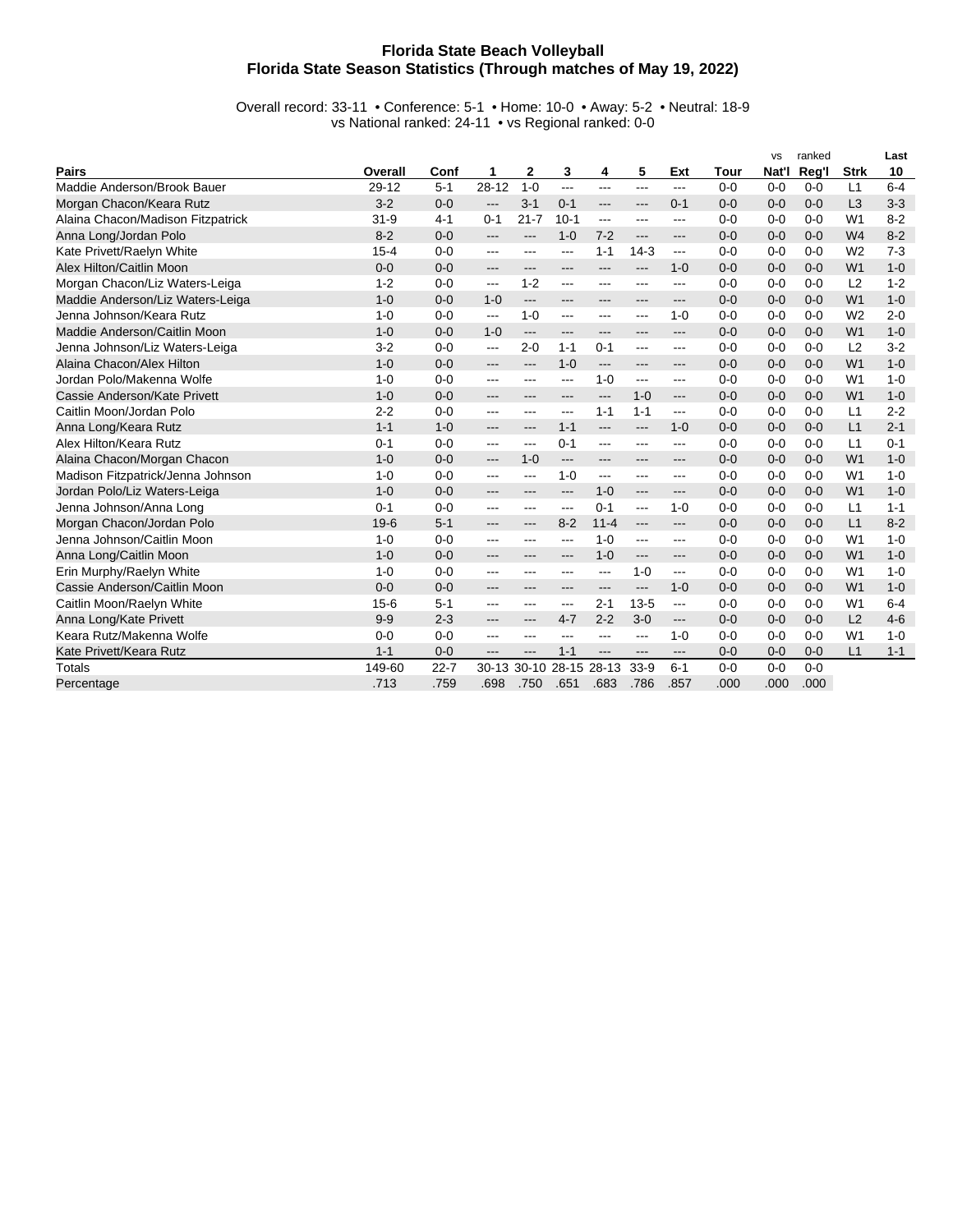## **Florida State Beach Volleyball Florida State Season Statistics (Through matches of May 19, 2022)**

Overall record: 33-11 • Conference: 5-1 • Home: 10-0 • Away: 5-2 • Neutral: 18-9 vs National ranked: 24-11 • vs Regional ranked: 0-0

|                                   |          |          |                          |          |           |                           |          |                        |         | <b>VS</b> | ranked  |                | Last    |
|-----------------------------------|----------|----------|--------------------------|----------|-----------|---------------------------|----------|------------------------|---------|-----------|---------|----------------|---------|
| <b>Pairs</b>                      | Overall  | Conf     | 1                        | 2        | 3         | 4                         | 5        | Ext                    | Tour    | Nat'l     | Reg'l   | <b>Strk</b>    | 10      |
| Maddie Anderson/Brook Bauer       | 29-12    | $5 - 1$  | $28 - 12$                | $1 - 0$  | ---       | $\qquad \qquad -\qquad -$ | $---$    | ---                    | $0 - 0$ | $0 - 0$   | $0 - 0$ | L1             | $6 - 4$ |
| Morgan Chacon/Keara Rutz          | $3 - 2$  | $0 - 0$  | $---$                    | $3 - 1$  | $0 - 1$   | ---                       | $---$    | $0 - 1$                | $0 - 0$ | $0 - 0$   | $0 - 0$ | L3             | $3 - 3$ |
| Alaina Chacon/Madison Fitzpatrick | $31 - 9$ | $4 - 1$  | $0 - 1$                  | $21 - 7$ | $10-1$    | $\qquad \qquad \cdots$    | ---      | $---$                  | $0 - 0$ | $0 - 0$   | $0 - 0$ | W <sub>1</sub> | $8 - 2$ |
| Anna Long/Jordan Polo             | $8 - 2$  | $0 - 0$  | ---                      | ---      | $1 - 0$   | $7 - 2$                   | ---      | ---                    | $0 - 0$ | $0 - 0$   | $0-0$   | W <sub>4</sub> | $8 - 2$ |
| Kate Privett/Raelyn White         | $15 - 4$ | $0 - 0$  | ---                      | ---      | ---       | $1 - 1$                   | $14-3$   | ---                    | $0 - 0$ | $0 - 0$   | $0 - 0$ | W <sub>2</sub> | $7 - 3$ |
| Alex Hilton/Caitlin Moon          | $0 - 0$  | $0 - 0$  | ---                      | ---      | ---       | ---                       | ---      | $1 - 0$                | $0 - 0$ | $0 - 0$   | $0 - 0$ | W <sub>1</sub> | $1 - 0$ |
| Morgan Chacon/Liz Waters-Leiga    | $1 - 2$  | $0 - 0$  | ---                      | $1 - 2$  | ---       | ---                       | ---      | ---                    | $0 - 0$ | $0 - 0$   | $0 - 0$ | L2             | $1 - 2$ |
| Maddie Anderson/Liz Waters-Leiga  | $1 - 0$  | $0 - 0$  | $1 - 0$                  | ---      | ---       | ---                       | ---      | ---                    | $0 - 0$ | $0 - 0$   | $0 - 0$ | W <sub>1</sub> | $1 - 0$ |
| Jenna Johnson/Keara Rutz          | $1 - 0$  | $0 - 0$  | $\overline{\phantom{a}}$ | $1 - 0$  | ---       | $---$                     | ---      | $1 - 0$                | $0 - 0$ | $0 - 0$   | $0 - 0$ | W <sub>2</sub> | $2 - 0$ |
| Maddie Anderson/Caitlin Moon      | $1 - 0$  | $0 - 0$  | $1 - 0$                  | ---      | ---       | ---                       | ---      | ---                    | $0 - 0$ | $0 - 0$   | $0 - 0$ | W <sub>1</sub> | $1 - 0$ |
| Jenna Johnson/Liz Waters-Leiga    | $3 - 2$  | $0 - 0$  | ---                      | $2 - 0$  | $1 - 1$   | $0 - 1$                   | ---      | ---                    | $0 - 0$ | $0 - 0$   | $0 - 0$ | L2             | $3 - 2$ |
| Alaina Chacon/Alex Hilton         | $1 - 0$  | $0 - 0$  | ---                      | ---      | $1 - 0$   | ---                       | ---      | ---                    | $0 - 0$ | $0 - 0$   | $0 - 0$ | W <sub>1</sub> | $1 - 0$ |
| Jordan Polo/Makenna Wolfe         | $1 - 0$  | $0 - 0$  | ---                      | ---      | ---       | $1 - 0$                   | $---$    | $---$                  | $0 - 0$ | $0 - 0$   | $0 - 0$ | W <sub>1</sub> | $1 - 0$ |
| Cassie Anderson/Kate Privett      | $1 - 0$  | $0 - 0$  | ---                      | ---      | ---       | ---                       | $1 - 0$  | ---                    | $0 - 0$ | $0 - 0$   | $0 - 0$ | W <sub>1</sub> | $1 - 0$ |
| Caitlin Moon/Jordan Polo          | $2 - 2$  | $0 - 0$  | ---                      | ---      | ---       | $1 - 1$                   | $1 - 1$  | ---                    | $0 - 0$ | $0 - 0$   | $0 - 0$ | L1             | $2 - 2$ |
| Anna Long/Keara Rutz              | $1 - 1$  | $1 - 0$  | ---                      | ---      | $1 - 1$   | ---                       | ---      | $1 - 0$                | $0 - 0$ | $0 - 0$   | $0 - 0$ | L1             | $2 - 1$ |
| Alex Hilton/Keara Rutz            | $0 - 1$  | $0 - 0$  | ---                      | ---      | $0 - 1$   | ---                       | ---      | ---                    | $0 - 0$ | $0 - 0$   | $0 - 0$ | L1             | $0 - 1$ |
| Alaina Chacon/Morgan Chacon       | $1 - 0$  | $0 - 0$  | ---                      | $1 - 0$  | $---$     | $---$                     | ---      | ---                    | $0 - 0$ | $0 - 0$   | $0 - 0$ | W <sub>1</sub> | $1 - 0$ |
| Madison Fitzpatrick/Jenna Johnson | $1 - 0$  | $0 - 0$  | ---                      | ---      | $1 - 0$   | ---                       | ---      | $\cdots$               | $0 - 0$ | $0 - 0$   | $0 - 0$ | W <sub>1</sub> | $1 - 0$ |
| Jordan Polo/Liz Waters-Leiga      | $1 - 0$  | $0 - 0$  | ---                      | ---      | ---       | $1 - 0$                   | ---      | ---                    | $0 - 0$ | $0 - 0$   | $0 - 0$ | W <sub>1</sub> | $1 - 0$ |
| Jenna Johnson/Anna Long           | $0 - 1$  | $0 - 0$  | ---                      | ---      | ---       | $0 - 1$                   | ---      | $1 - 0$                | $0 - 0$ | $0 - 0$   | $0 - 0$ | L1             | $1 - 1$ |
| Morgan Chacon/Jordan Polo         | $19-6$   | $5 - 1$  | ---                      | ---      | $8 - 2$   | $11 - 4$                  | ---      | ---                    | $0 - 0$ | $0 - 0$   | $0 - 0$ | L1             | $8 - 2$ |
| Jenna Johnson/Caitlin Moon        | $1 - 0$  | $0 - 0$  | ---                      | ---      | ---       | $1 - 0$                   | ---      | ---                    | $0 - 0$ | $0 - 0$   | $0 - 0$ | W <sub>1</sub> | $1 - 0$ |
| Anna Long/Caitlin Moon            | $1 - 0$  | $0 - 0$  | ---                      | ---      | ---       | $1 - 0$                   | ---      | ---                    | $0 - 0$ | $0 - 0$   | $0 - 0$ | W <sub>1</sub> | $1 - 0$ |
| Erin Murphy/Raelyn White          | $1 - 0$  | $0 - 0$  | ---                      | ---      | ---       | ---                       | $1 - 0$  | ---                    | $0 - 0$ | $0 - 0$   | $0 - 0$ | W <sub>1</sub> | $1 - 0$ |
| Cassie Anderson/Caitlin Moon      | $0 - 0$  | $0 - 0$  | $---$                    | ---      | ---       | $---$                     | ---      | $1 - 0$                | $0 - 0$ | $0 - 0$   | $0 - 0$ | W <sub>1</sub> | $1 - 0$ |
| Caitlin Moon/Raelyn White         | $15 - 6$ | $5 - 1$  | ---                      | ---      | ---       | $2 - 1$                   | $13 - 5$ | $\overline{a}$         | $0 - 0$ | $0 - 0$   | $0 - 0$ | W <sub>1</sub> | $6 - 4$ |
| Anna Long/Kate Privett            | $9 - 9$  | $2 - 3$  | ---                      | ---      | $4 - 7$   | $2 - 2$                   | $3-0$    | ---                    | $0 - 0$ | $0 - 0$   | $0 - 0$ | L2             | $4 - 6$ |
| Keara Rutz/Makenna Wolfe          | $0 - 0$  | $0 - 0$  | ---                      | ---      | ---       | ---                       | ---      | $1 - 0$                | $0 - 0$ | $0 - 0$   | $0 - 0$ | W <sub>1</sub> | $1 - 0$ |
| Kate Privett/Keara Rutz           | $1 - 1$  | $0 - 0$  | ---                      | ---      | $1 - 1$   | ---                       | ---      | $\qquad \qquad \cdots$ | $0 - 0$ | $0 - 0$   | $0 - 0$ | L1             | $1 - 1$ |
| <b>Totals</b>                     | 149-60   | $22 - 7$ | $30 - 13$                | $30-10$  | $28 - 15$ | 28-13                     | $33-9$   | $6 - 1$                | $0 - 0$ | $0 - 0$   | $0 - 0$ |                |         |
| Percentage                        | .713     | .759     | .698                     | .750     | .651      | .683                      | .786     | .857                   | .000    | .000      | .000    |                |         |